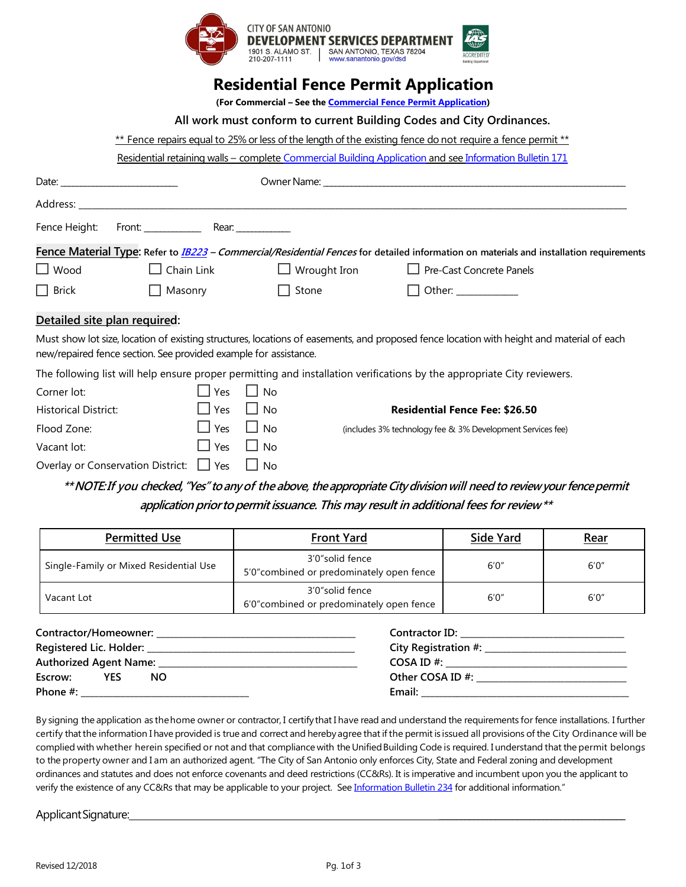

## **Residential Fence Permit Application**

**(For Commercial – See th[e Commercial Fence Permit Application\)](https://docsonline.sanantonio.gov/FileUploads/DSD/CommercialFenceApp.pdf)** 

| All work must conform to current Building Codes and City Ordinances. |  |  |
|----------------------------------------------------------------------|--|--|
|                                                                      |  |  |

\*\* Fence repairs equal to 25% or less of the length of the existing fence do not require a fence permit \*\*

Residential retaining walls – complete [Commercial Building Application](https://docsonline.sanantonio.gov/FileUploads/DSD/CommercialProjectApplicationandGuide.pdf) and se[e Information Bulletin 171](https://docsonline.sanantonio.gov/FileUploads/DSD/IB171.pdf)

|              |                   |              | Fence Material Type: Refer to <i>IB223 - Commercial/Residential Fences</i> for detailed information on materials and installation requirements |
|--------------|-------------------|--------------|------------------------------------------------------------------------------------------------------------------------------------------------|
| $\Box$ Wood  | $\Box$ Chain Link |              | $\Box$ Wrought Iron $\Box$ Pre-Cast Concrete Panels                                                                                            |
| $\Box$ Brick | $\Box$ Masonry    | $\Box$ Stone | $\Box$ Other:                                                                                                                                  |

## **Detailed site plan required:**

Must show lot size, location of existing structures, locations of easements, and proposed fence location with height and material of each new/repaired fence section. See provided example for assistance.

The following list will help ensure proper permitting and installation verifications by the appropriate City reviewers.

| Corner lot:                                            | l Yes                | l No               |                                                            |
|--------------------------------------------------------|----------------------|--------------------|------------------------------------------------------------|
| <b>Historical District:</b>                            | $\Box$ Yes           | $\vert$ $\vert$ No | <b>Residential Fence Fee: \$26.50</b>                      |
| Flood Zone:                                            | $\Box$ Yes $\Box$ No |                    | (includes 3% technology fee & 3% Development Services fee) |
| Vacant lot:                                            | $\Box$ Yes $\Box$ No |                    |                                                            |
| Overlay or Conservation District: $\Box$ Yes $\Box$ No |                      |                    |                                                            |

**\*\*NOTE:If you checked,"Yes" toanyof the above,theappropriate Citydivisionwill needto reviewyour fencepermit application priortopermitissuance. This may result in additional fees for review\*\***

| <b>Permitted Use</b>                   | <b>Front Yard</b>                                            | <b>Side Yard</b> | <b>Rear</b> |
|----------------------------------------|--------------------------------------------------------------|------------------|-------------|
| Single-Family or Mixed Residential Use | 3'0"solid fence<br>5'0" combined or predominately open fence | 6'0''            | 6'0''       |
| Vacant Lot                             | 3'0"solid fence<br>6'0" combined or predominately open fence |                  | 6'0''       |

| Contractor/Homeowner: __ |     |     | <b>Contractor ID:</b> |
|--------------------------|-----|-----|-----------------------|
|                          |     |     | City Registration #:  |
| Authorized Agent Name:   |     |     | $COSA ID \#$          |
| Escrow:                  | YES | NO. | Other COSA ID #:      |
| Phone $#$ :              |     |     | Email:                |

By signing the application as thehome owner or contractor, I certifythat I have read and understand the requirements for fence installations. I further certify thatthe information I have provided is true and correct and herebyagree that if the permitis issued all provisions of the City Ordinance will be complied with whether herein specified or not and that compliance with the Unified Building Code is required. I understand that the permit belongs to the property owner and I am an authorized agent. "The City of San Antonio only enforces City, State and Federal zoning and development ordinances and statutes and does not enforce covenants and deed restrictions (CC&Rs). It is imperative and incumbent upon you the applicant to verify the existence of any CC&Rs that may be applicable to your project. Se[e Information Bulletin 234](https://docsonline.sanantonio.gov/FileUploads/DSD/IB234.pdf) for additional information."

Applicant Signature: